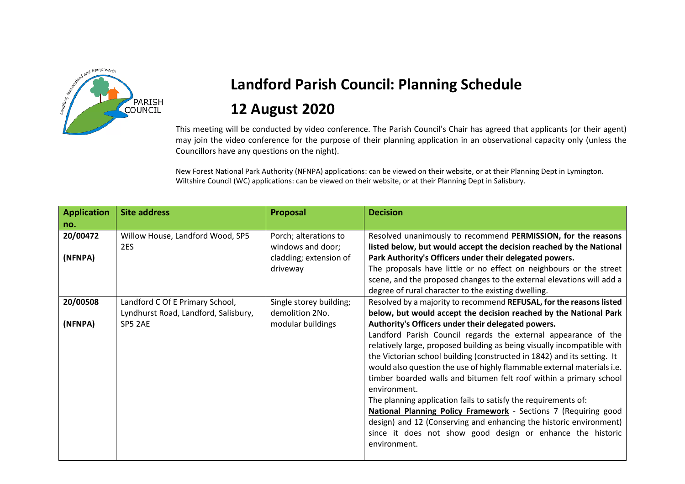

## **Landford Parish Council: Planning Schedule 12 August 2020**

This meeting will be conducted by video conference. The Parish Council's Chair has agreed that applicants (or their agent) may join the video conference for the purpose of their planning application in an observational capacity only (unless the Councillors have any questions on the night).

New Forest National Park Authority (NFNPA) applications: can be viewed on their website, or at their Planning Dept in Lymington. Wiltshire Council (WC) applications: can be viewed on their website, or at their Planning Dept in Salisbury.

| <b>Application</b><br>no. | <b>Site address</b>                                                     | Proposal                                                                         | <b>Decision</b>                                                                                                                                                                                                                                                                                                                                                                                                                                                                                                                                                                                                                                                                                                                      |
|---------------------------|-------------------------------------------------------------------------|----------------------------------------------------------------------------------|--------------------------------------------------------------------------------------------------------------------------------------------------------------------------------------------------------------------------------------------------------------------------------------------------------------------------------------------------------------------------------------------------------------------------------------------------------------------------------------------------------------------------------------------------------------------------------------------------------------------------------------------------------------------------------------------------------------------------------------|
| 20/00472<br>(NFNPA)       | Willow House, Landford Wood, SP5<br>2ES                                 | Porch; alterations to<br>windows and door;<br>cladding; extension of<br>driveway | Resolved unanimously to recommend PERMISSION, for the reasons<br>listed below, but would accept the decision reached by the National<br>Park Authority's Officers under their delegated powers.<br>The proposals have little or no effect on neighbours or the street<br>scene, and the proposed changes to the external elevations will add a<br>degree of rural character to the existing dwelling.                                                                                                                                                                                                                                                                                                                                |
| 20/00508                  | Landford C Of E Primary School,<br>Lyndhurst Road, Landford, Salisbury, | Single storey building;<br>demolition 2No.                                       | Resolved by a majority to recommend REFUSAL, for the reasons listed<br>below, but would accept the decision reached by the National Park                                                                                                                                                                                                                                                                                                                                                                                                                                                                                                                                                                                             |
| (NFNPA)                   | SP5 2AE                                                                 | modular buildings                                                                | Authority's Officers under their delegated powers.<br>Landford Parish Council regards the external appearance of the<br>relatively large, proposed building as being visually incompatible with<br>the Victorian school building (constructed in 1842) and its setting. It<br>would also question the use of highly flammable external materials i.e.<br>timber boarded walls and bitumen felt roof within a primary school<br>environment.<br>The planning application fails to satisfy the requirements of:<br>National Planning Policy Framework - Sections 7 (Requiring good<br>design) and 12 (Conserving and enhancing the historic environment)<br>since it does not show good design or enhance the historic<br>environment. |